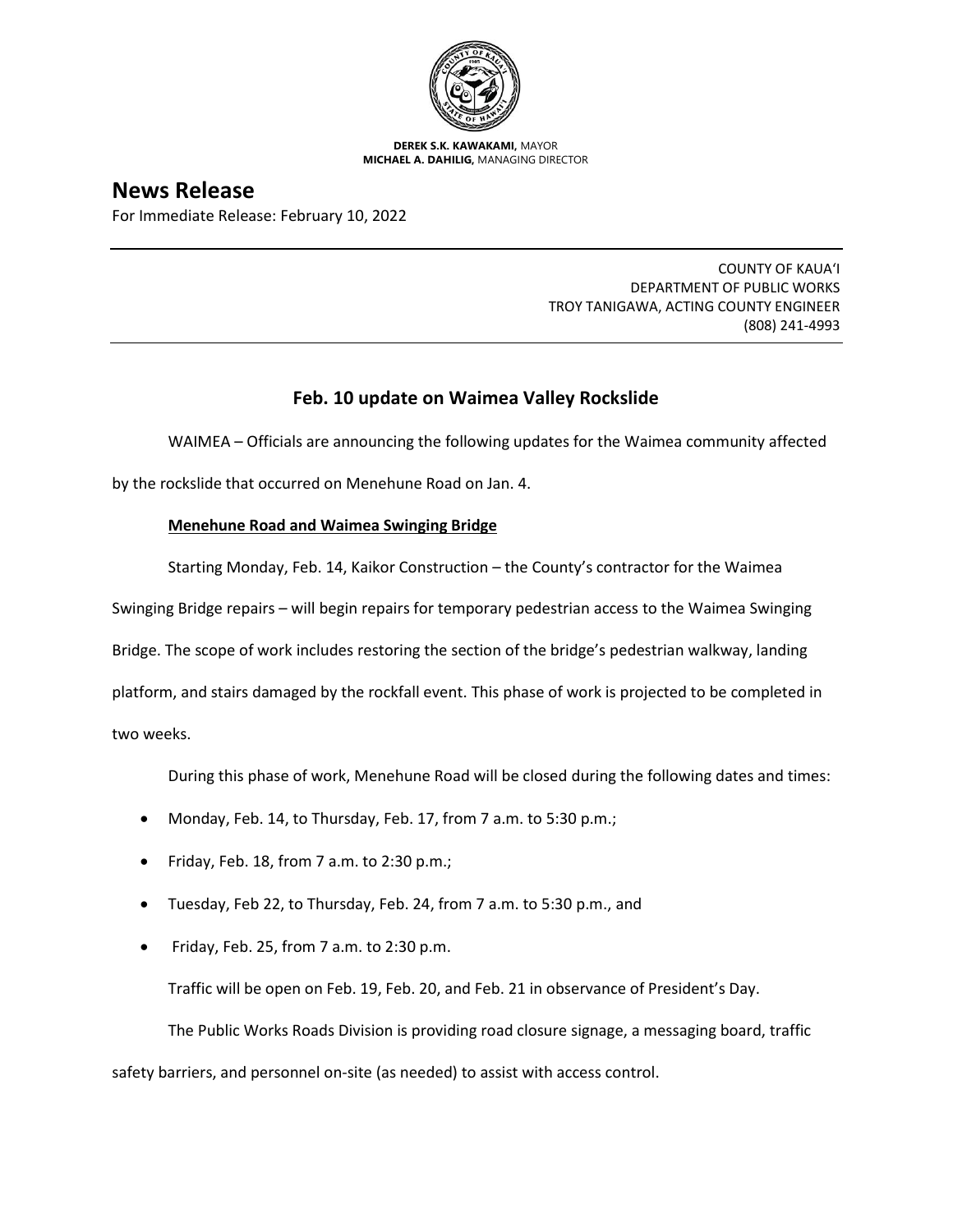

**DEREK S.K. KAWAKAMI,** MAYOR **MICHAEL A. DAHILIG,** MANAGING DIRECTOR

# **News Release**

For Immediate Release: February 10, 2022

COUNTY OF KAUA'I DEPARTMENT OF PUBLIC WORKS TROY TANIGAWA, ACTING COUNTY ENGINEER (808) 241-4993

## **Feb. 10 update on Waimea Valley Rockslide**

WAIMEA – Officials are announcing the following updates for the Waimea community affected

by the rockslide that occurred on Menehune Road on Jan. 4.

### **Menehune Road and Waimea Swinging Bridge**

Starting Monday, Feb. 14, Kaikor Construction – the County's contractor for the Waimea

Swinging Bridge repairs – will begin repairs for temporary pedestrian access to the Waimea Swinging

Bridge. The scope of work includes restoring the section of the bridge's pedestrian walkway, landing

platform, and stairs damaged by the rockfall event. This phase of work is projected to be completed in

two weeks.

During this phase of work, Menehune Road will be closed during the following dates and times:

- Monday, Feb. 14, to Thursday, Feb. 17, from 7 a.m. to 5:30 p.m.;
- Friday, Feb. 18, from 7 a.m. to 2:30 p.m.;
- Tuesday, Feb 22, to Thursday, Feb. 24, from 7 a.m. to 5:30 p.m., and
- Friday, Feb. 25, from 7 a.m. to 2:30 p.m.

Traffic will be open on Feb. 19, Feb. 20, and Feb. 21 in observance of President's Day.

The Public Works Roads Division is providing road closure signage, a messaging board, traffic

safety barriers, and personnel on-site (as needed) to assist with access control.